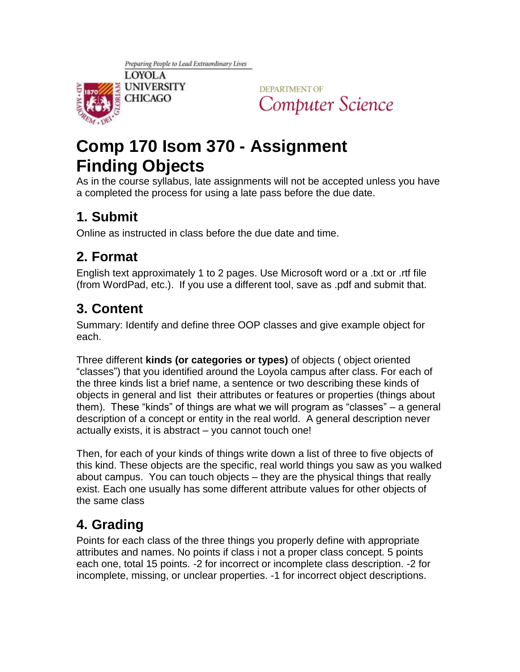

**DEPARTMENT OF** Computer Science

# **Comp 170 Isom 370 - Assignment Finding Objects**

As in the course syllabus, late assignments will not be accepted unless you have a completed the process for using a late pass before the due date.

### **1. Submit**

Online as instructed in class before the due date and time.

### **2. Format**

English text approximately 1 to 2 pages. Use Microsoft word or a .txt or .rtf file (from WordPad, etc.). If you use a different tool, save as .pdf and submit that.

## **3. Content**

Summary: Identify and define three OOP classes and give example object for each.

Three different **kinds (or categories or types)** of objects ( object oriented "classes") that you identified around the Loyola campus after class. For each of the three kinds list a brief name, a sentence or two describing these kinds of objects in general and list their attributes or features or properties (things about them). These "kinds" of things are what we will program as "classes" – a general description of a concept or entity in the real world. A general description never actually exists, it is abstract – you cannot touch one!

Then, for each of your kinds of things write down a list of three to five objects of this kind. These objects are the specific, real world things you saw as you walked about campus. You can touch objects – they are the physical things that really exist. Each one usually has some different attribute values for other objects of the same class

# **4. Grading**

Points for each class of the three things you properly define with appropriate attributes and names. No points if class i not a proper class concept. 5 points each one, total 15 points. -2 for incorrect or incomplete class description. -2 for incomplete, missing, or unclear properties. -1 for incorrect object descriptions.